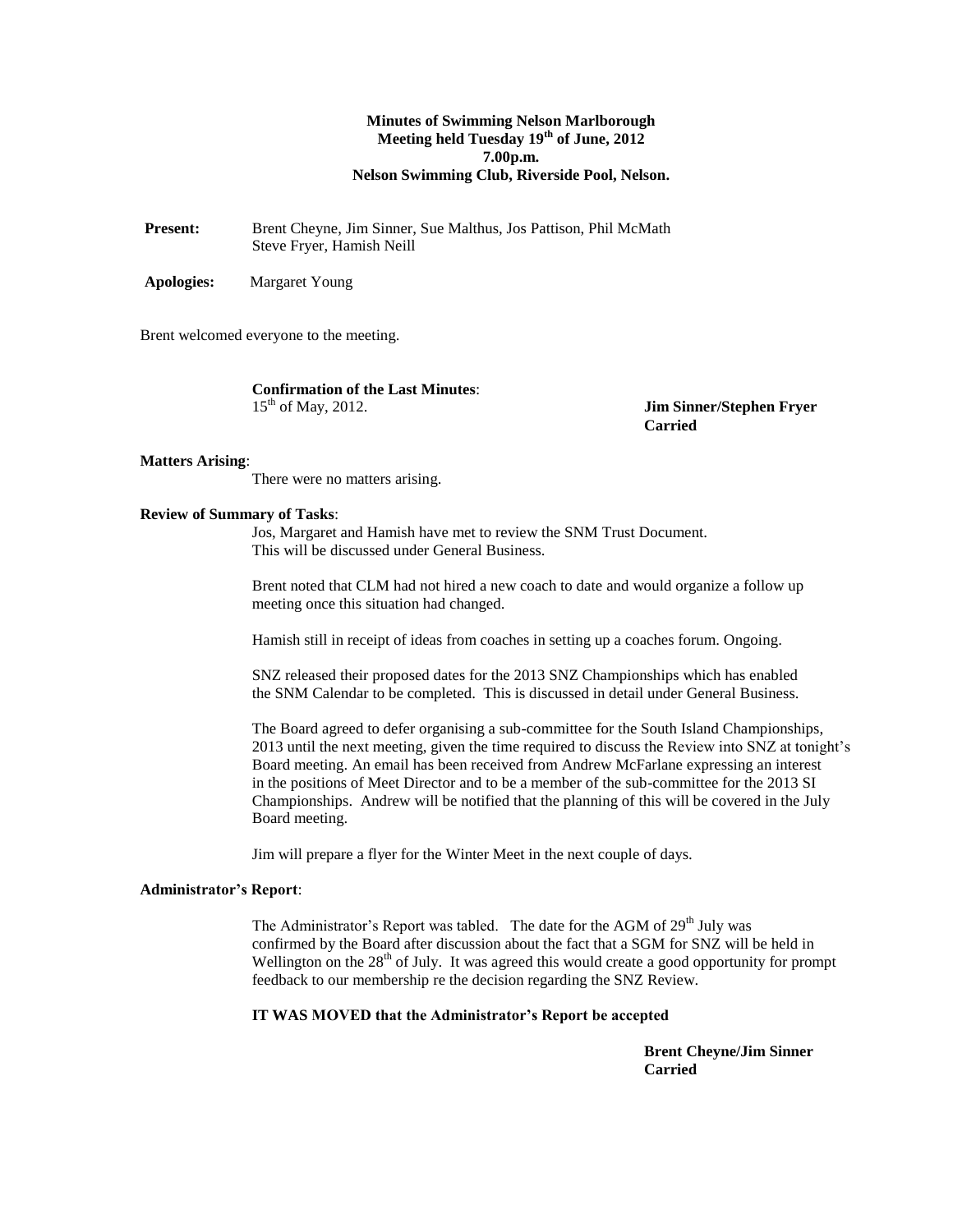# **Minutes of Swimming Nelson Marlborough Meeting held Tuesday 19th of June, 2012 7.00p.m. Nelson Swimming Club, Riverside Pool, Nelson.**

Present: Brent Cheyne, Jim Sinner, Sue Malthus, Jos Pattison, Phil McMath Steve Fryer, Hamish Neill

**Apologies:** Margaret Young

Brent welcomed everyone to the meeting.

**Confirmation of the Last Minutes**:  $15^{th}$  of May, 2012.

**Jim Sinner/Stephen Fryer Carried**

#### **Matters Arising**:

There were no matters arising.

### **Review of Summary of Tasks**:

Jos, Margaret and Hamish have met to review the SNM Trust Document. This will be discussed under General Business.

Brent noted that CLM had not hired a new coach to date and would organize a follow up meeting once this situation had changed.

Hamish still in receipt of ideas from coaches in setting up a coaches forum. Ongoing.

SNZ released their proposed dates for the 2013 SNZ Championships which has enabled the SNM Calendar to be completed. This is discussed in detail under General Business.

The Board agreed to defer organising a sub-committee for the South Island Championships, 2013 until the next meeting, given the time required to discuss the Review into SNZ at tonight's Board meeting. An email has been received from Andrew McFarlane expressing an interest in the positions of Meet Director and to be a member of the sub-committee for the 2013 SI Championships. Andrew will be notified that the planning of this will be covered in the July Board meeting.

Jim will prepare a flyer for the Winter Meet in the next couple of days.

#### **Administrator's Report**:

The Administrator's Report was tabled. The date for the AGM of 29<sup>th</sup> July was confirmed by the Board after discussion about the fact that a SGM for SNZ will be held in Wellington on the  $28<sup>th</sup>$  of July. It was agreed this would create a good opportunity for prompt feedback to our membership re the decision regarding the SNZ Review.

# **IT WAS MOVED that the Administrator's Report be accepted**

**Brent Cheyne/Jim Sinner Carried**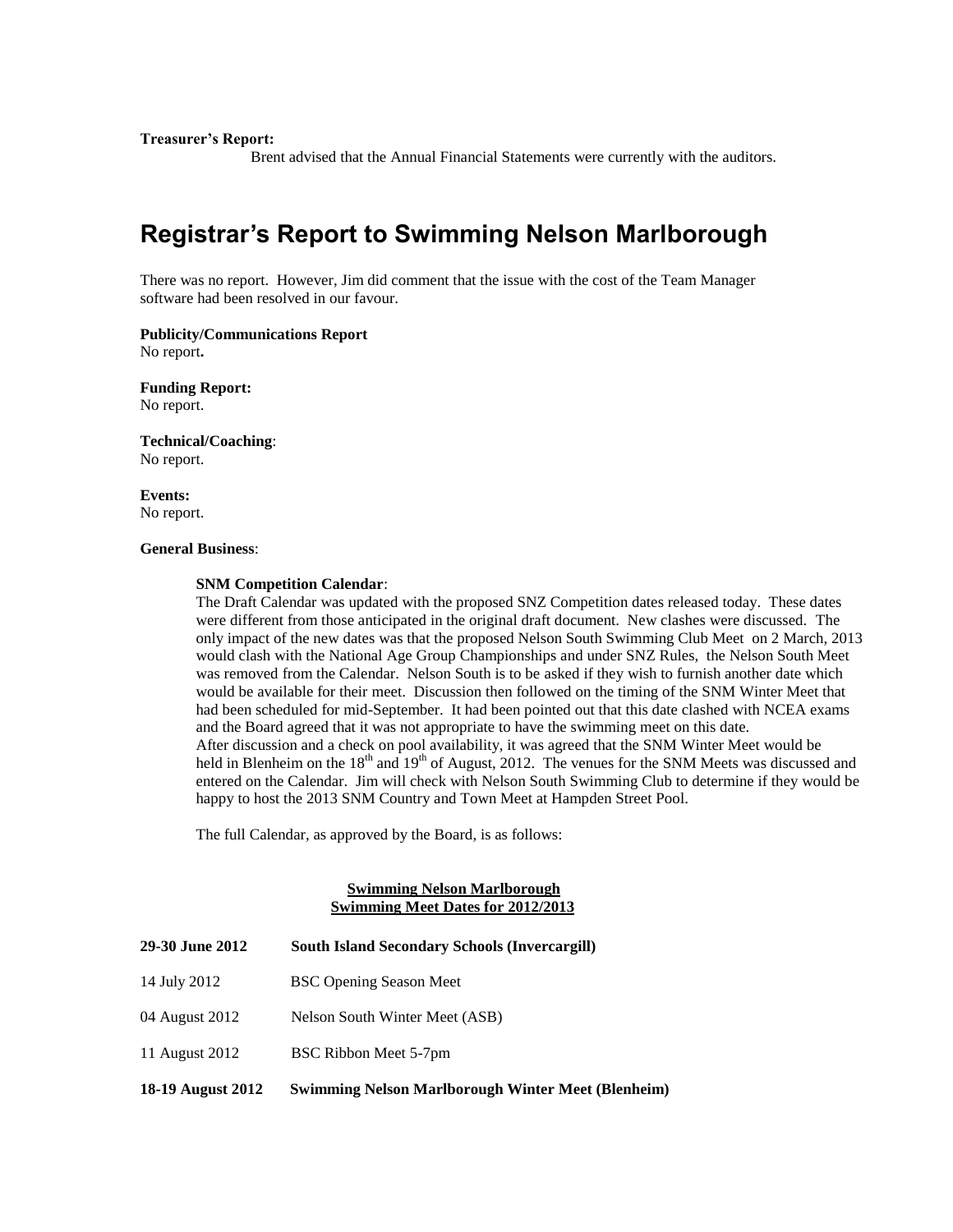**Treasurer's Report:**

Brent advised that the Annual Financial Statements were currently with the auditors.

# **Registrar's Report to Swimming Nelson Marlborough**

There was no report. However, Jim did comment that the issue with the cost of the Team Manager software had been resolved in our favour.

**Publicity/Communications Report** No report**.**

**Funding Report:** No report.

**Technical/Coaching**: No report.

**Events:** No report.

#### **General Business**:

#### **SNM Competition Calendar**:

The Draft Calendar was updated with the proposed SNZ Competition dates released today. These dates were different from those anticipated in the original draft document. New clashes were discussed. The only impact of the new dates was that the proposed Nelson South Swimming Club Meet on 2 March, 2013 would clash with the National Age Group Championships and under SNZ Rules, the Nelson South Meet was removed from the Calendar. Nelson South is to be asked if they wish to furnish another date which would be available for their meet. Discussion then followed on the timing of the SNM Winter Meet that had been scheduled for mid-September. It had been pointed out that this date clashed with NCEA exams and the Board agreed that it was not appropriate to have the swimming meet on this date. After discussion and a check on pool availability, it was agreed that the SNM Winter Meet would be held in Blenheim on the 18<sup>th</sup> and 19<sup>th</sup> of August, 2012. The venues for the SNM Meets was discussed and entered on the Calendar. Jim will check with Nelson South Swimming Club to determine if they would be happy to host the 2013 SNM Country and Town Meet at Hampden Street Pool.

The full Calendar, as approved by the Board, is as follows:

# **Swimming Nelson Marlborough Swimming Meet Dates for 2012/2013**

| <b>29-30 June 2012</b> | <b>South Island Secondary Schools (Invercargill)</b>      |
|------------------------|-----------------------------------------------------------|
| 14 July 2012           | <b>BSC Opening Season Meet</b>                            |
| 04 August 2012         | Nelson South Winter Meet (ASB)                            |
| 11 August 2012         | BSC Ribbon Meet 5-7pm                                     |
| 18-19 August 2012      | <b>Swimming Nelson Marlborough Winter Meet (Blenheim)</b> |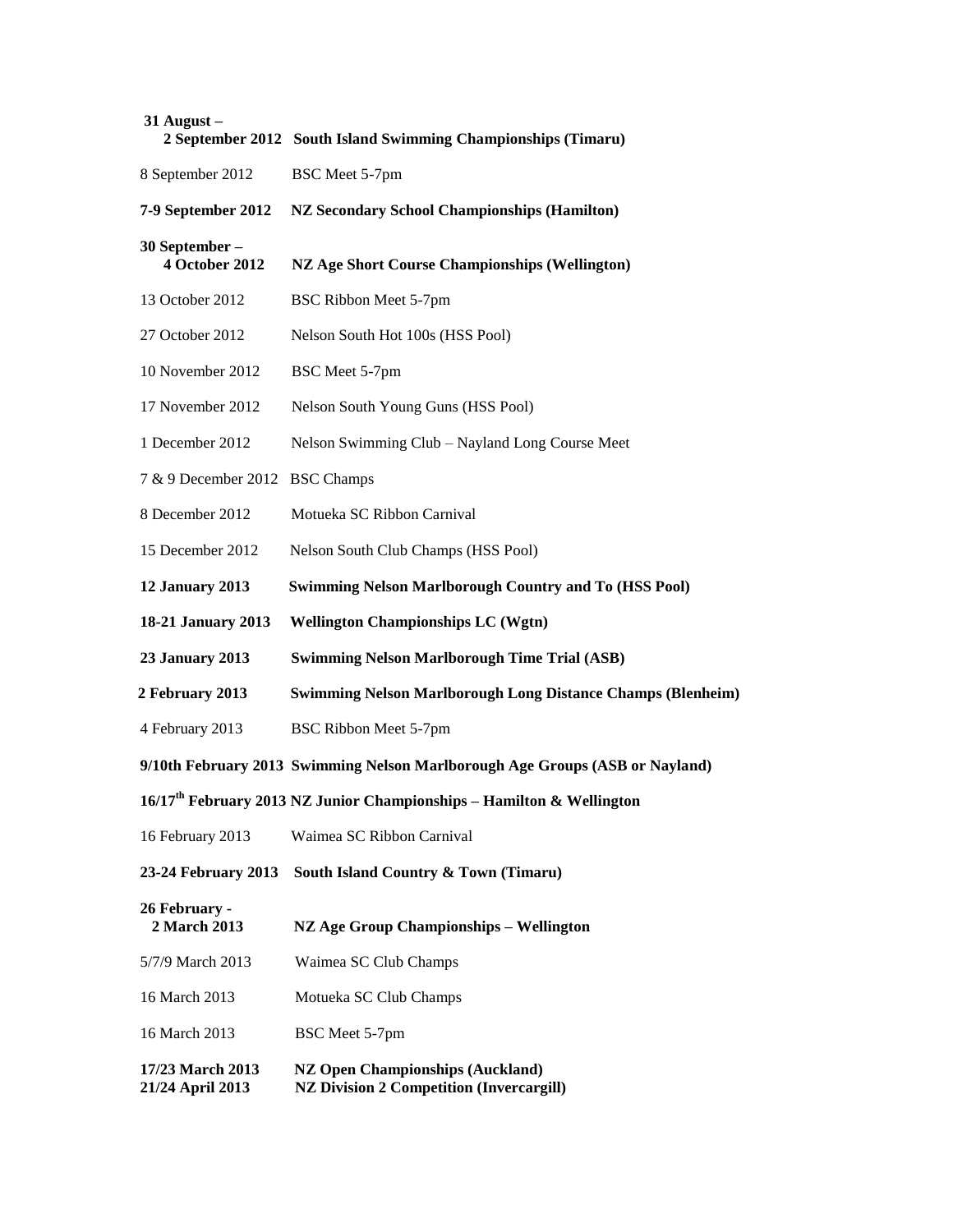| $31$ August $-$                         | 2 September 2012 South Island Swimming Championships (Timaru)                     |
|-----------------------------------------|-----------------------------------------------------------------------------------|
| 8 September 2012                        | BSC Meet 5-7pm                                                                    |
| 7-9 September 2012                      | <b>NZ Secondary School Championships (Hamilton)</b>                               |
| 30 September -<br><b>4 October 2012</b> | <b>NZ Age Short Course Championships (Wellington)</b>                             |
| 13 October 2012                         | BSC Ribbon Meet 5-7pm                                                             |
| 27 October 2012                         | Nelson South Hot 100s (HSS Pool)                                                  |
| 10 November 2012                        | BSC Meet 5-7pm                                                                    |
| 17 November 2012                        | Nelson South Young Guns (HSS Pool)                                                |
| 1 December 2012                         | Nelson Swimming Club - Nayland Long Course Meet                                   |
| 7 & 9 December 2012                     | <b>BSC</b> Champs                                                                 |
| 8 December 2012                         | Motueka SC Ribbon Carnival                                                        |
| 15 December 2012                        | Nelson South Club Champs (HSS Pool)                                               |
| 12 January 2013                         | <b>Swimming Nelson Marlborough Country and To (HSS Pool)</b>                      |
| 18-21 January 2013                      | <b>Wellington Championships LC (Wgtn)</b>                                         |
|                                         |                                                                                   |
| <b>23 January 2013</b>                  | <b>Swimming Nelson Marlborough Time Trial (ASB)</b>                               |
| 2 February 2013                         | <b>Swimming Nelson Marlborough Long Distance Champs (Blenheim)</b>                |
| 4 February 2013                         | BSC Ribbon Meet 5-7pm                                                             |
|                                         | 9/10th February 2013 Swimming Nelson Marlborough Age Groups (ASB or Nayland)      |
|                                         | 16/17 <sup>th</sup> February 2013 NZ Junior Championships - Hamilton & Wellington |
| 16 February 2013                        | Waimea SC Ribbon Carnival                                                         |
| 23-24 February 2013                     | South Island Country & Town (Timaru)                                              |
| 26 February -<br>2 March 2013           | NZ Age Group Championships - Wellington                                           |
| 5/7/9 March 2013                        | Waimea SC Club Champs                                                             |
| 16 March 2013                           | Motueka SC Club Champs                                                            |
| 16 March 2013                           | BSC Meet 5-7pm                                                                    |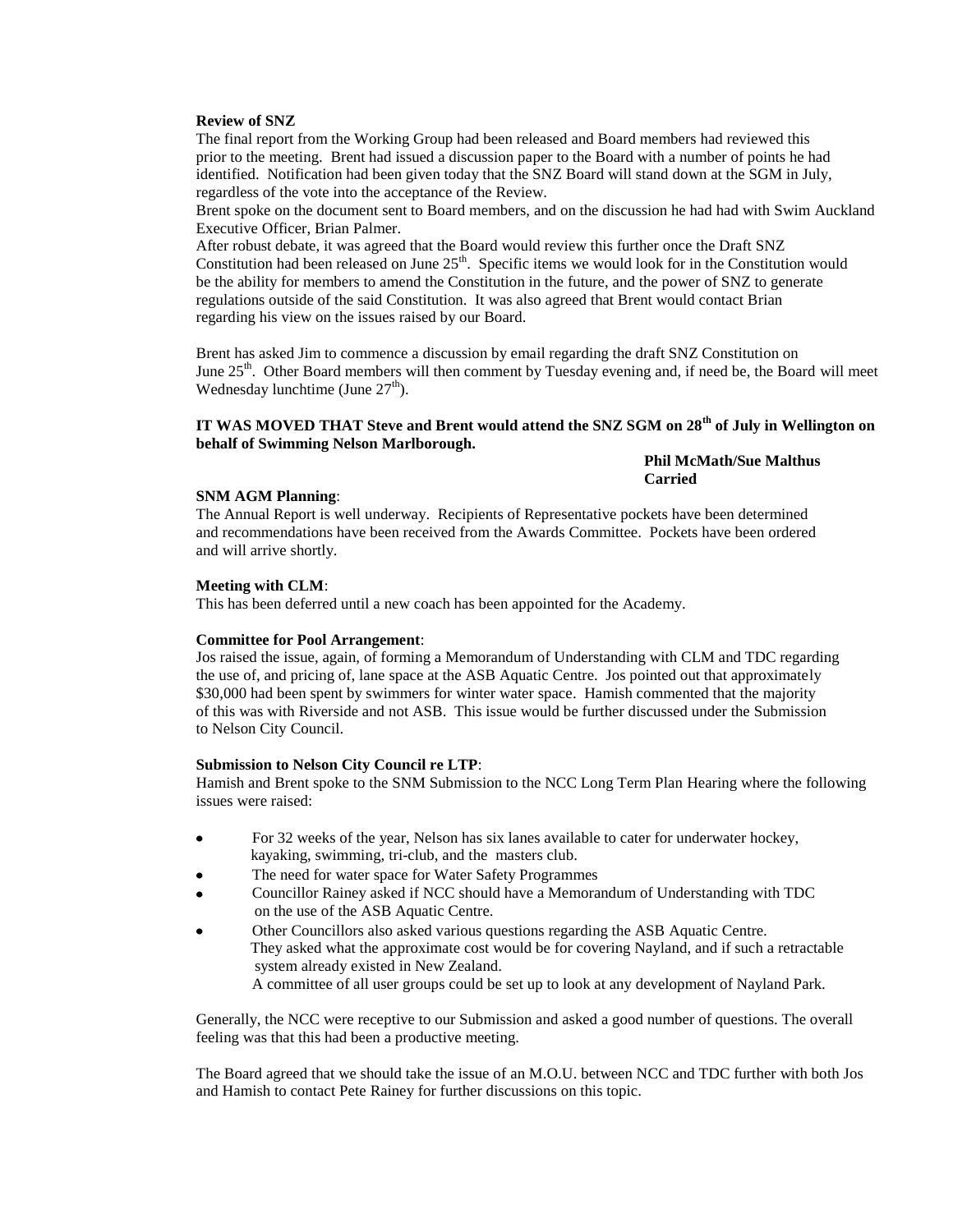# **Review of SNZ**

The final report from the Working Group had been released and Board members had reviewed this prior to the meeting. Brent had issued a discussion paper to the Board with a number of points he had identified. Notification had been given today that the SNZ Board will stand down at the SGM in July, regardless of the vote into the acceptance of the Review.

Brent spoke on the document sent to Board members, and on the discussion he had had with Swim Auckland Executive Officer, Brian Palmer.

After robust debate, it was agreed that the Board would review this further once the Draft SNZ Constitution had been released on June 25<sup>th</sup>. Specific items we would look for in the Constitution would be the ability for members to amend the Constitution in the future, and the power of SNZ to generate regulations outside of the said Constitution. It was also agreed that Brent would contact Brian regarding his view on the issues raised by our Board.

Brent has asked Jim to commence a discussion by email regarding the draft SNZ Constitution on June 25<sup>th</sup>. Other Board members will then comment by Tuesday evening and, if need be, the Board will meet Wednesday lunchtime (June  $27<sup>th</sup>$ ).

# **IT WAS MOVED THAT Steve and Brent would attend the SNZ SGM on 28th of July in Wellington on behalf of Swimming Nelson Marlborough.**

**Phil McMath/Sue Malthus Carried**

#### **SNM AGM Planning**:

The Annual Report is well underway. Recipients of Representative pockets have been determined and recommendations have been received from the Awards Committee. Pockets have been ordered and will arrive shortly.

#### **Meeting with CLM**:

This has been deferred until a new coach has been appointed for the Academy.

#### **Committee for Pool Arrangement**:

Jos raised the issue, again, of forming a Memorandum of Understanding with CLM and TDC regarding the use of, and pricing of, lane space at the ASB Aquatic Centre. Jos pointed out that approximately \$30,000 had been spent by swimmers for winter water space. Hamish commented that the majority of this was with Riverside and not ASB. This issue would be further discussed under the Submission to Nelson City Council.

#### **Submission to Nelson City Council re LTP**:

Hamish and Brent spoke to the SNM Submission to the NCC Long Term Plan Hearing where the following issues were raised:

- For 32 weeks of the year, Nelson has six lanes available to cater for underwater hockey, kayaking, swimming, tri-club, and the masters club.
- The need for water space for Water Safety Programmes
- Councillor Rainey asked if NCC should have a Memorandum of Understanding with TDC on the use of the ASB Aquatic Centre.
- Other Councillors also asked various questions regarding the ASB Aquatic Centre. They asked what the approximate cost would be for covering Nayland, and if such a retractable system already existed in New Zealand. A committee of all user groups could be set up to look at any development of Nayland Park.

Generally, the NCC were receptive to our Submission and asked a good number of questions. The overall feeling was that this had been a productive meeting.

The Board agreed that we should take the issue of an M.O.U. between NCC and TDC further with both Jos and Hamish to contact Pete Rainey for further discussions on this topic.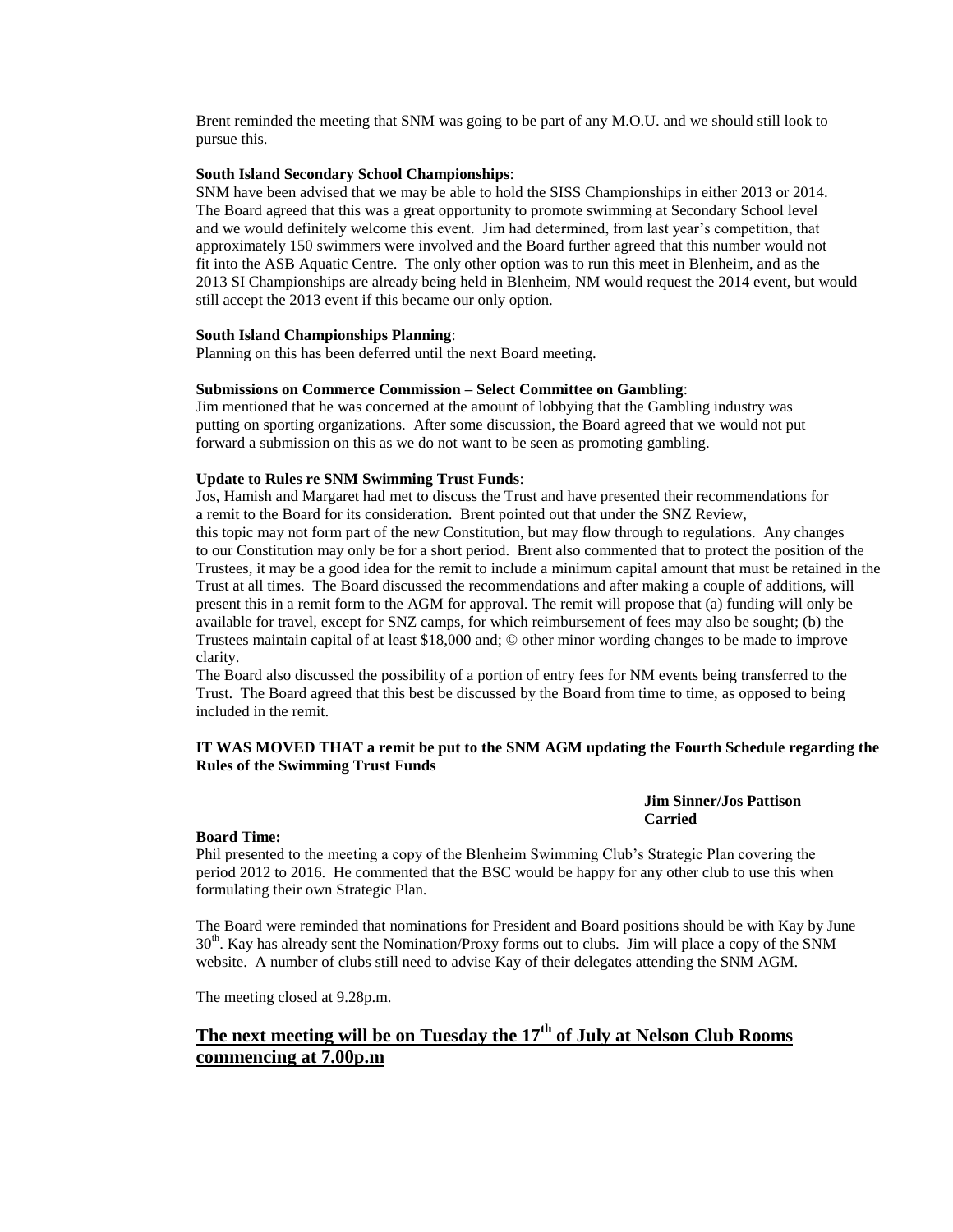Brent reminded the meeting that SNM was going to be part of any M.O.U. and we should still look to pursue this.

#### **South Island Secondary School Championships**:

SNM have been advised that we may be able to hold the SISS Championships in either 2013 or 2014. The Board agreed that this was a great opportunity to promote swimming at Secondary School level and we would definitely welcome this event. Jim had determined, from last year's competition, that approximately 150 swimmers were involved and the Board further agreed that this number would not fit into the ASB Aquatic Centre. The only other option was to run this meet in Blenheim, and as the 2013 SI Championships are already being held in Blenheim, NM would request the 2014 event, but would still accept the 2013 event if this became our only option.

#### **South Island Championships Planning**:

Planning on this has been deferred until the next Board meeting.

#### **Submissions on Commerce Commission – Select Committee on Gambling**:

Jim mentioned that he was concerned at the amount of lobbying that the Gambling industry was putting on sporting organizations. After some discussion, the Board agreed that we would not put forward a submission on this as we do not want to be seen as promoting gambling.

## **Update to Rules re SNM Swimming Trust Funds**:

Jos, Hamish and Margaret had met to discuss the Trust and have presented their recommendations for a remit to the Board for its consideration. Brent pointed out that under the SNZ Review,

this topic may not form part of the new Constitution, but may flow through to regulations. Any changes to our Constitution may only be for a short period. Brent also commented that to protect the position of the Trustees, it may be a good idea for the remit to include a minimum capital amount that must be retained in the Trust at all times. The Board discussed the recommendations and after making a couple of additions, will present this in a remit form to the AGM for approval. The remit will propose that (a) funding will only be available for travel, except for SNZ camps, for which reimbursement of fees may also be sought; (b) the Trustees maintain capital of at least \$18,000 and; © other minor wording changes to be made to improve clarity.

The Board also discussed the possibility of a portion of entry fees for NM events being transferred to the Trust. The Board agreed that this best be discussed by the Board from time to time, as opposed to being included in the remit.

# **IT WAS MOVED THAT a remit be put to the SNM AGM updating the Fourth Schedule regarding the Rules of the Swimming Trust Funds**

# **Jim Sinner/Jos Pattison Carried**

#### **Board Time:**

Phil presented to the meeting a copy of the Blenheim Swimming Club's Strategic Plan covering the period 2012 to 2016. He commented that the BSC would be happy for any other club to use this when formulating their own Strategic Plan.

The Board were reminded that nominations for President and Board positions should be with Kay by June 30<sup>th</sup>. Kay has already sent the Nomination/Proxy forms out to clubs. Jim will place a copy of the SNM website. A number of clubs still need to advise Kay of their delegates attending the SNM AGM.

The meeting closed at 9.28p.m.

# **The next meeting will be on Tuesday the 17th of July at Nelson Club Rooms commencing at 7.00p.m**